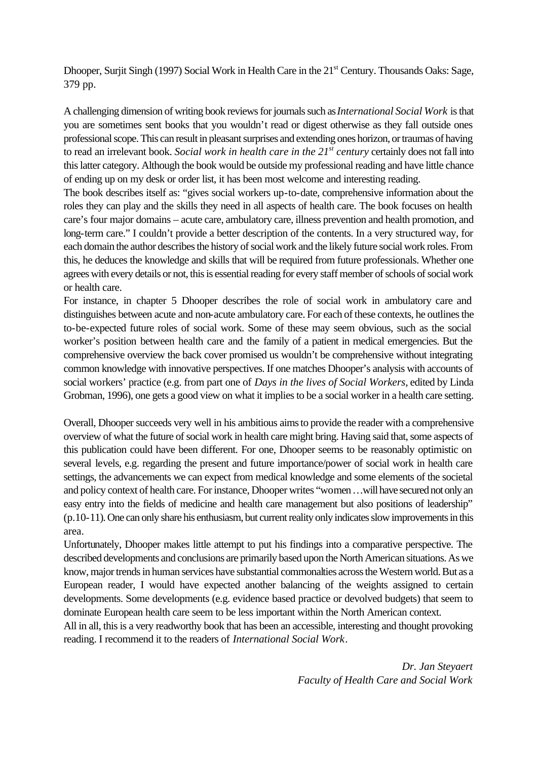Dhooper, Surjit Singh (1997) Social Work in Health Care in the 21<sup>st</sup> Century. Thousands Oaks: Sage, 379 pp.

A challenging dimension of writing book reviews for journals such as *International Social Work* is that you are sometimes sent books that you wouldn't read or digest otherwise as they fall outside ones professional scope. This can result in pleasant surprises and extending ones horizon, or traumas of having to read an irrelevant book. *Social work in health care in the 21st century* certainly does not fall into this latter category. Although the book would be outside my professional reading and have little chance of ending up on my desk or order list, it has been most welcome and interesting reading.

The book describes itself as: "gives social workers up-to-date, comprehensive information about the roles they can play and the skills they need in all aspects of health care. The book focuses on health care's four major domains – acute care, ambulatory care, illness prevention and health promotion, and long-term care." I couldn't provide a better description of the contents. In a very structured way, for each domain the author describes the history of social work and the likely future social work roles. From this, he deduces the knowledge and skills that will be required from future professionals. Whether one agrees with every details or not, this is essential reading for every staff member of schools of social work or health care.

For instance, in chapter 5 Dhooper describes the role of social work in ambulatory care and distinguishes between acute and non-acute ambulatory care. For each of these contexts, he outlines the to-be-expected future roles of social work. Some of these may seem obvious, such as the social worker's position between health care and the family of a patient in medical emergencies. But the comprehensive overview the back cover promised us wouldn't be comprehensive without integrating common knowledge with innovative perspectives. If one matches Dhooper's analysis with accounts of social workers' practice (e.g. from part one of *Days in the lives of Social Workers*, edited by Linda Grobman, 1996), one gets a good view on what it implies to be a social worker in a health care setting.

Overall, Dhooper succeeds very well in his ambitious aims to provide the reader with a comprehensive overview of what the future of social work in health care might bring. Having said that, some aspects of this publication could have been different. For one, Dhooper seems to be reasonably optimistic on several levels, e.g. regarding the present and future importance/power of social work in health care settings, the advancements we can expect from medical knowledge and some elements of the societal and policy context of health care. For instance, Dhooper writes "women …will have secured not only an easy entry into the fields of medicine and health care management but also positions of leadership" (p.10-11). One can only share his enthusiasm, but current reality only indicates slow improvements in this area.

Unfortunately, Dhooper makes little attempt to put his findings into a comparative perspective. The described developments and conclusions are primarily based upon the North American situations. As we know, major trends in human services have substantial commonalties across the Western world. But as a European reader, I would have expected another balancing of the weights assigned to certain developments. Some developments (e.g. evidence based practice or devolved budgets) that seem to dominate European health care seem to be less important within the North American context.

All in all, this is a very readworthy book that has been an accessible, interesting and thought provoking reading. I recommend it to the readers of *International Social Work*.

> *Dr. Jan Steyaert Faculty of Health Care and Social Work*